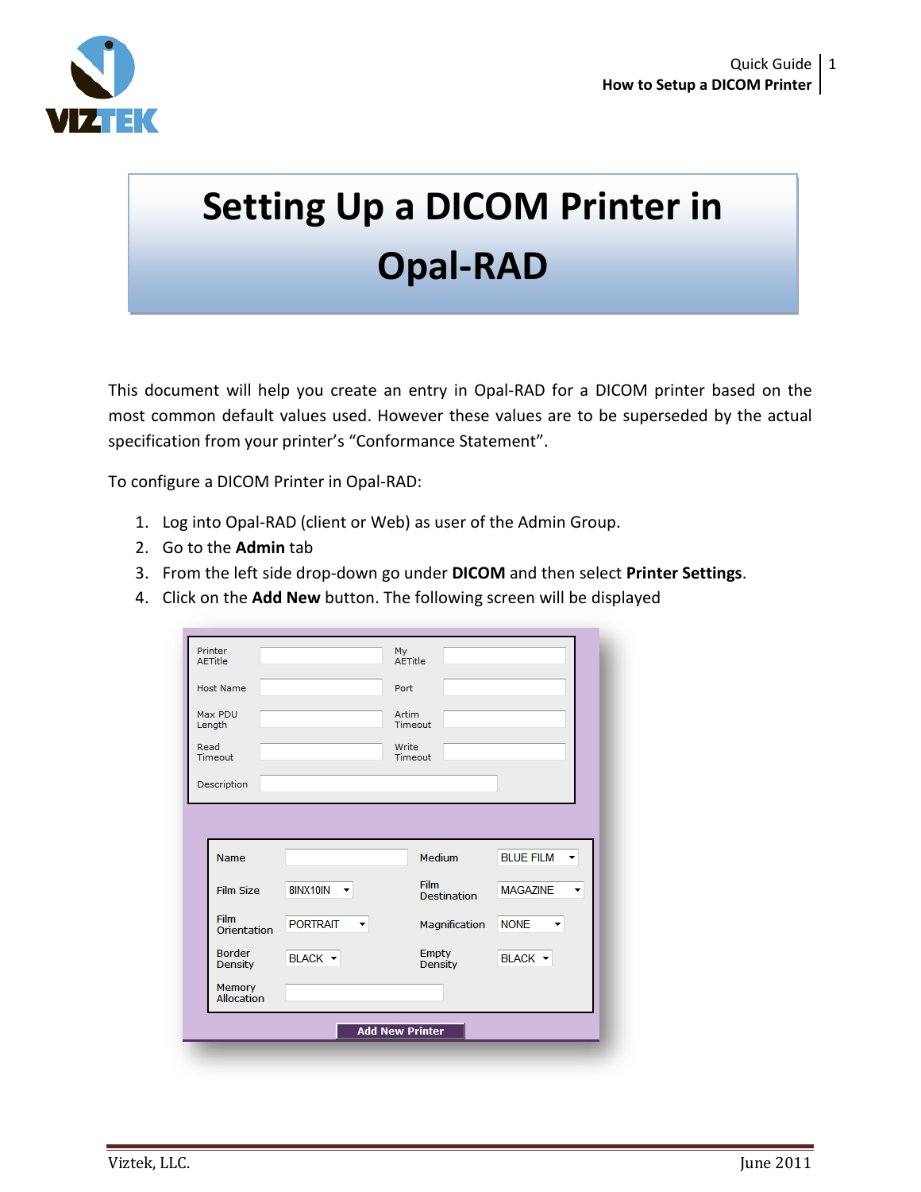

## **Setting Up a DICOM Printer in Opal-RAD**

This document will help you create an entry in Opal-RAD for a DICOM printer based on the most common default values used. However these values are to be superseded by the actual specification from your printer's "Conformance Statement".

To configure a DICOM Printer in Opal-RAD:

- 1. Log into Opal-RAD (client or Web) as user of the Admin Group.
- 2. Go to the **Admin** tab
- 3. From the left side drop-down go under **DICOM** and then select **Printer Settings**.
- 4. Click on the **Add New** button. The following screen will be displayed

| AFTitle                         |                 |                      | My<br>AETitle                  |                  |
|---------------------------------|-----------------|----------------------|--------------------------------|------------------|
| <b>Host Name</b>                |                 |                      | Port                           |                  |
| Max PDU<br>Length               |                 |                      | Artim<br>Timeout               |                  |
| Read<br>Timeout                 |                 |                      | Write<br>Timeout               |                  |
| Description                     |                 |                      |                                |                  |
|                                 |                 |                      |                                |                  |
|                                 |                 |                      |                                |                  |
|                                 |                 |                      |                                |                  |
| Name                            |                 |                      | Medium                         | <b>BLUE FILM</b> |
| <b>Film Size</b>                | 8INX10IN<br>۰   |                      | Film<br><b>Destination</b>     | <b>MAGAZINE</b>  |
| <b>Film</b><br>Orientation      | <b>PORTRAIT</b> | $\blacktriangledown$ | Magnification                  | <b>NONE</b><br>۰ |
| <b>Border</b><br><b>Density</b> | BLACK -         |                      | <b>Empty</b><br><b>Density</b> | BLACK -          |
| Memory<br>Allocation            |                 |                      |                                |                  |